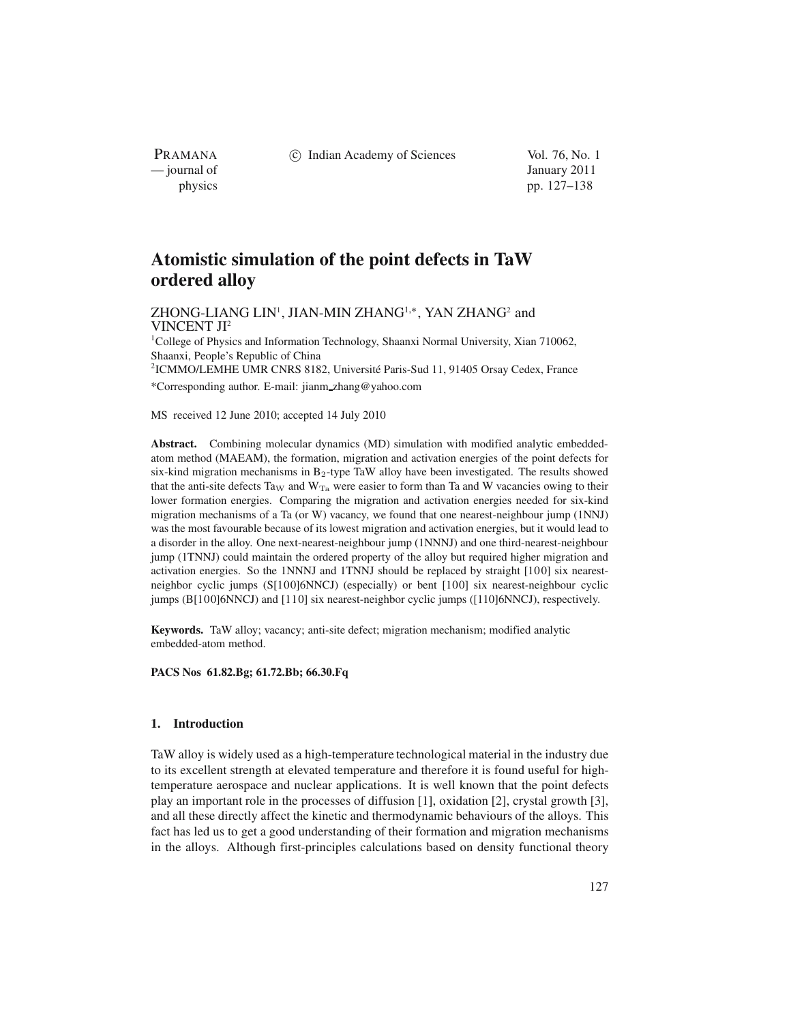(c) Indian Academy of Sciences Vol. 76, No. 1

PRAMANA<br>
— journal of

January 2011 physics pp. 127–138

# **Atomistic simulation of the point defects in TaW ordered alloy**

ZHONG-LIANG LIN<sup>1</sup>, JIAN-MIN ZHANG<sup>1,∗</sup>, YAN ZHANG<sup>2</sup> and VINCENT JI2

<sup>1</sup>College of Physics and Information Technology, Shaanxi Normal University, Xian 710062, Shaanxi, People's Republic of China

<sup>2</sup>ICMMO/LEMHE UMR CNRS 8182, Université Paris-Sud 11, 91405 Orsay Cedex, France \*Corresponding author. E-mail: jianm zhang@yahoo.com

MS received 12 June 2010; accepted 14 July 2010

**Abstract.** Combining molecular dynamics (MD) simulation with modified analytic embeddedatom method (MAEAM), the formation, migration and activation energies of the point defects for six-kind migration mechanisms in  $B_2$ -type TaW alloy have been investigated. The results showed that the anti-site defects Ta<sub>W</sub> and  $W_{Ta}$  were easier to form than Ta and W vacancies owing to their lower formation energies. Comparing the migration and activation energies needed for six-kind migration mechanisms of a Ta (or W) vacancy, we found that one nearest-neighbour jump (1NNJ) was the most favourable because of its lowest migration and activation energies, but it would lead to a disorder in the alloy. One next-nearest-neighbour jump (1NNNJ) and one third-nearest-neighbour jump (1TNNJ) could maintain the ordered property of the alloy but required higher migration and activation energies. So the 1NNNJ and 1TNNJ should be replaced by straight [100] six nearestneighbor cyclic jumps (S[100]6NNCJ) (especially) or bent [100] six nearest-neighbour cyclic jumps (B[100]6NNCJ) and [110] six nearest-neighbor cyclic jumps ([110]6NNCJ), respectively.

**Keywords.** TaW alloy; vacancy; anti-site defect; migration mechanism; modified analytic embedded-atom method.

**PACS Nos 61.82.Bg; 61.72.Bb; 66.30.Fq**

## **1. Introduction**

TaW alloy is widely used as a high-temperature technological material in the industry due to its excellent strength at elevated temperature and therefore it is found useful for hightemperature aerospace and nuclear applications. It is well known that the point defects play an important role in the processes of diffusion [1], oxidation [2], crystal growth [3], and all these directly affect the kinetic and thermodynamic behaviours of the alloys. This fact has led us to get a good understanding of their formation and migration mechanisms in the alloys. Although first-principles calculations based on density functional theory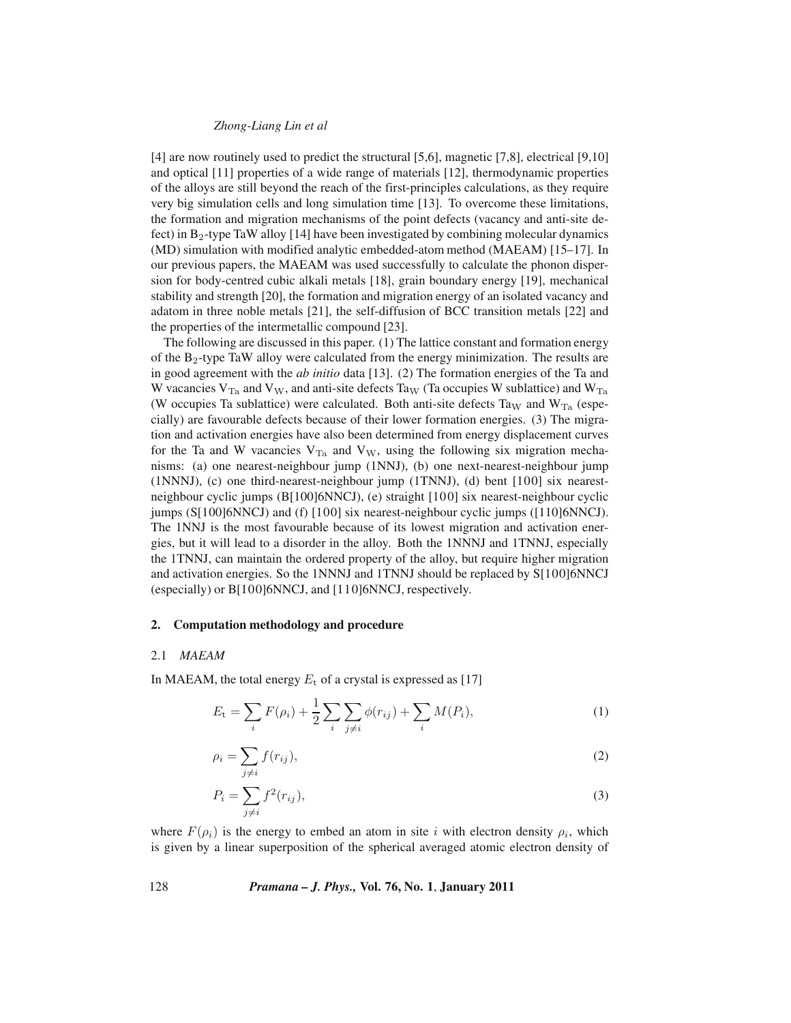## *Zhong-Liang Lin et al*

[4] are now routinely used to predict the structural [5,6], magnetic [7,8], electrical [9,10] and optical [11] properties of a wide range of materials [12], thermodynamic properties of the alloys are still beyond the reach of the first-principles calculations, as they require very big simulation cells and long simulation time [13]. To overcome these limitations, the formation and migration mechanisms of the point defects (vacancy and anti-site defect) in  $B_2$ -type TaW alloy [14] have been investigated by combining molecular dynamics (MD) simulation with modified analytic embedded-atom method (MAEAM) [15–17]. In our previous papers, the MAEAM was used successfully to calculate the phonon dispersion for body-centred cubic alkali metals [18], grain boundary energy [19], mechanical stability and strength [20], the formation and migration energy of an isolated vacancy and adatom in three noble metals [21], the self-diffusion of BCC transition metals [22] and the properties of the intermetallic compound [23].

The following are discussed in this paper. (1) The lattice constant and formation energy of the  $B_2$ -type TaW alloy were calculated from the energy minimization. The results are in good agreement with the *ab initio* data [13]. (2) The formation energies of the Ta and W vacancies  $V_{Ta}$  and  $V_W$ , and anti-site defects Ta<sub>W</sub> (Ta occupies W sublattice) and  $W_{Ta}$ (W occupies Ta sublattice) were calculated. Both anti-site defects Ta<sub>W</sub> and W<sub>Ta</sub> (especially) are favourable defects because of their lower formation energies. (3) The migration and activation energies have also been determined from energy displacement curves for the Ta and W vacancies  $V_{Ta}$  and  $V_W$ , using the following six migration mechanisms: (a) one nearest-neighbour jump (1NNJ), (b) one next-nearest-neighbour jump (1NNNJ), (c) one third-nearest-neighbour jump (1TNNJ), (d) bent [100] six nearestneighbour cyclic jumps (B[100]6NNCJ), (e) straight [100] six nearest-neighbour cyclic jumps (S[100]6NNCJ) and (f) [100] six nearest-neighbour cyclic jumps ([110]6NNCJ). The 1NNJ is the most favourable because of its lowest migration and activation energies, but it will lead to a disorder in the alloy. Both the 1NNNJ and 1TNNJ, especially the 1TNNJ, can maintain the ordered property of the alloy, but require higher migration and activation energies. So the 1NNNJ and 1TNNJ should be replaced by S[100]6NNCJ (especially) or B[100]6NNCJ, and [110]6NNCJ, respectively.

## **2. Computation methodology and procedure**

#### 2.1 *MAEAM*

In MAEAM, the total energy  $E_t$  of a crystal is expressed as [17]

$$
E_{t} = \sum_{i} F(\rho_{i}) + \frac{1}{2} \sum_{i} \sum_{j \neq i} \phi(r_{ij}) + \sum_{i} M(P_{i}), \qquad (1)
$$

$$
\rho_i = \sum_{j \neq i} f(r_{ij}),\tag{2}
$$

$$
P_i = \sum_{j \neq i} f^2(r_{ij}),\tag{3}
$$

where  $F(\rho_i)$  is the energy to embed an atom in site i with electron density  $\rho_i$ , which is given by a linear superposition of the spherical averaged atomic electron density of

128 *Pramana – J. Phys.,* **Vol. 76, No. 1**, **January 2011**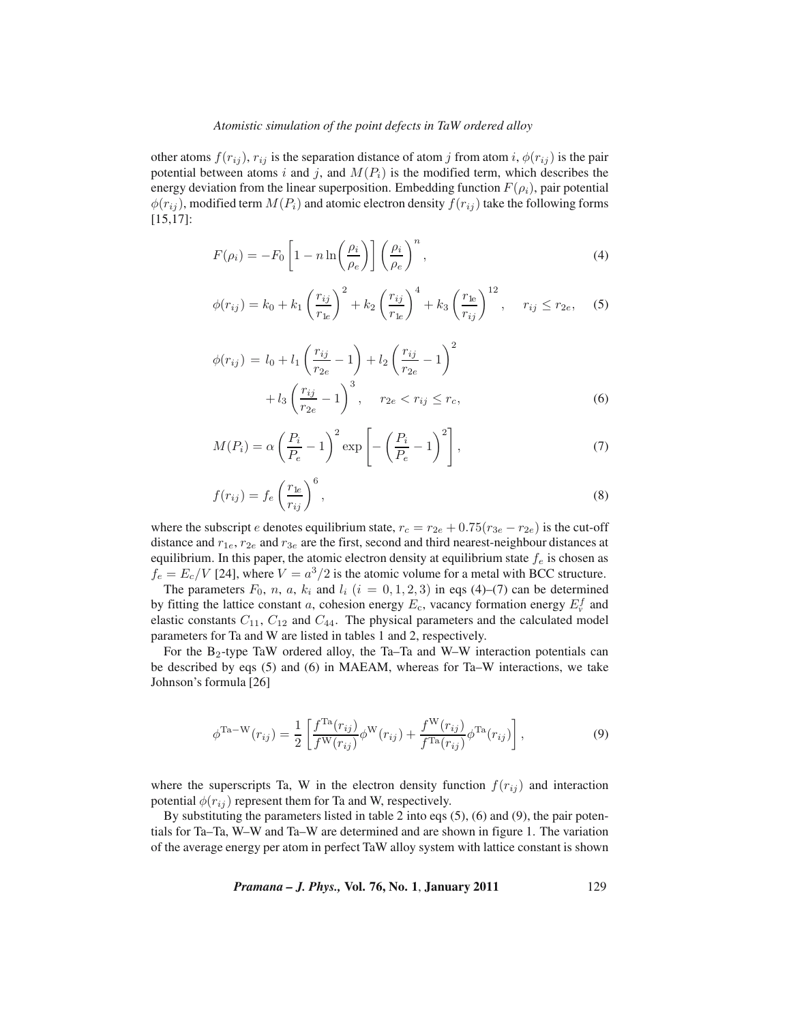#### *Atomistic simulation of the point defects in TaW ordered alloy*

other atoms  $f(r_{ij})$ ,  $r_{ij}$  is the separation distance of atom j from atom i,  $\phi(r_{ij})$  is the pair potential between atoms i and j, and  $M(P_i)$  is the modified term, which describes the energy deviation from the linear superposition. Embedding function  $F(\rho_i)$ , pair potential  $\phi(r_{ij})$ , modified term  $M(P_i)$  and atomic electron density  $f(r_{ij})$  take the following forms [15,17]:

$$
F(\rho_i) = -F_0 \left[ 1 - n \ln \left( \frac{\rho_i}{\rho_e} \right) \right] \left( \frac{\rho_i}{\rho_e} \right)^n, \tag{4}
$$

$$
\phi(r_{ij}) = k_0 + k_1 \left(\frac{r_{ij}}{r_{1e}}\right)^2 + k_2 \left(\frac{r_{ij}}{r_{1e}}\right)^4 + k_3 \left(\frac{r_{1e}}{r_{ij}}\right)^{12}, \quad r_{ij} \le r_{2e}, \quad (5)
$$

$$
\phi(r_{ij}) = l_0 + l_1 \left(\frac{r_{ij}}{r_{2e}} - 1\right) + l_2 \left(\frac{r_{ij}}{r_{2e}} - 1\right)^2 + l_3 \left(\frac{r_{ij}}{r_{2e}} - 1\right)^3, \quad r_{2e} < r_{ij} \le r_c,
$$
\n(6)

$$
M(P_i) = \alpha \left(\frac{P_i}{P_e} - 1\right)^2 \exp\left[-\left(\frac{P_i}{P_e} - 1\right)^2\right],\tag{7}
$$

$$
f(r_{ij}) = f_e \left(\frac{r_{1e}}{r_{ij}}\right)^6,\tag{8}
$$

where the subscript e denotes equilibrium state,  $r_c = r_{2e} + 0.75(r_{3e} - r_{2e})$  is the cut-off distance and  $r_{1e}$ ,  $r_{2e}$  and  $r_{3e}$  are the first, second and third nearest-neighbour distances at equilibrium. In this paper, the atomic electron density at equilibrium state  $f_e$  is chosen as  $f_e = E_c/V$  [24], where  $V = a^3/2$  is the atomic volume for a metal with BCC structure.

The parameters  $F_0$ , n, a,  $k_i$  and  $l_i$   $(i = 0, 1, 2, 3)$  in eqs (4)–(7) can be determined by fitting the lattice constant a, cohesion energy  $E_c$ , vacancy formation energy  $E_r^f$  and elastic constants  $C_{11}$ ,  $C_{12}$  and  $C_{44}$ . The physical parameters and the calculated model parameters for Ta and W are listed in tables 1 and 2, respectively.

For the B2-type TaW ordered alloy, the Ta–Ta and W–W interaction potentials can be described by eqs (5) and (6) in MAEAM, whereas for Ta–W interactions, we take Johnson's formula [26]

$$
\phi^{\text{Ta-W}}(r_{ij}) = \frac{1}{2} \left[ \frac{f^{\text{Ta}}(r_{ij})}{f^{\text{W}}(r_{ij})} \phi^{\text{W}}(r_{ij}) + \frac{f^{\text{W}}(r_{ij})}{f^{\text{Ta}}(r_{ij})} \phi^{\text{Ta}}(r_{ij}) \right],
$$
\n(9)

where the superscripts Ta, W in the electron density function  $f(r_{ij})$  and interaction potential  $\phi(r_{ij})$  represent them for Ta and W, respectively.

By substituting the parameters listed in table 2 into eqs (5), (6) and (9), the pair potentials for Ta–Ta, W–W and Ta–W are determined and are shown in figure 1. The variation of the average energy per atom in perfect TaW alloy system with lattice constant is shown

*Pramana – J. Phys.,* **Vol. 76, No. 1**, **January 2011** 129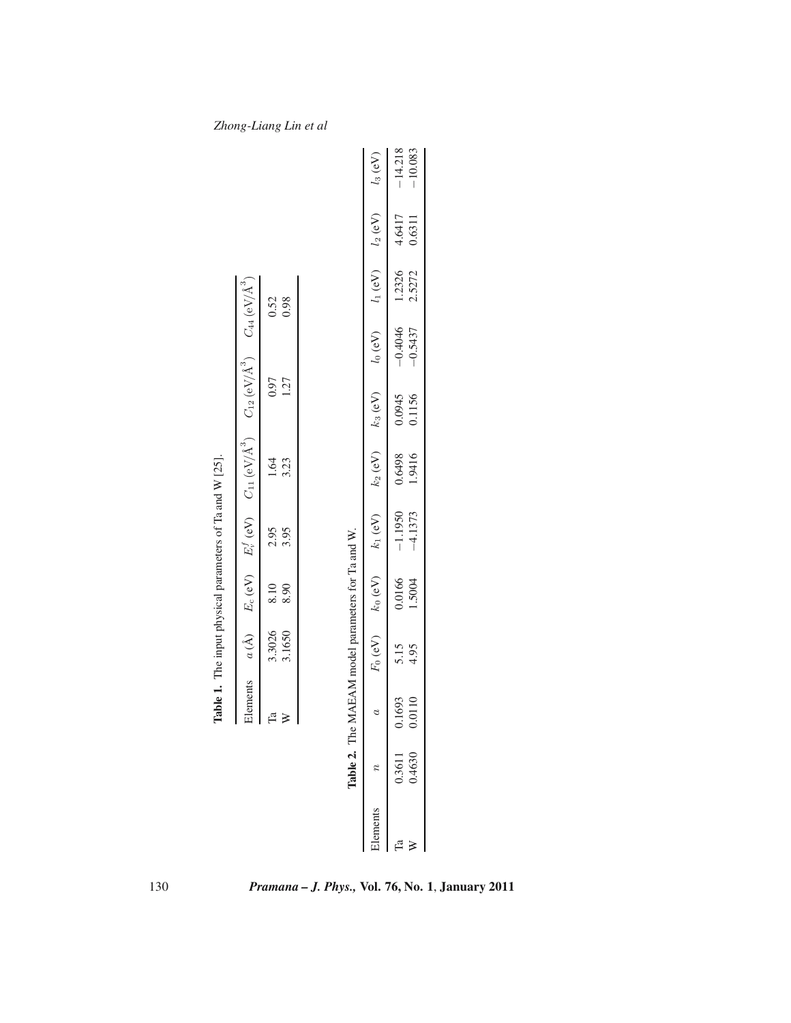|  |                                                   |             | <b>Table 1.</b> The input physical parameters of Ta and W [25]. |      |                                                                                                                                   |                                                                                                                                                                                                                                                                     |  |
|--|---------------------------------------------------|-------------|-----------------------------------------------------------------|------|-----------------------------------------------------------------------------------------------------------------------------------|---------------------------------------------------------------------------------------------------------------------------------------------------------------------------------------------------------------------------------------------------------------------|--|
|  |                                                   |             |                                                                 |      | Elements $a(A)$ $E_c$ (eV) $E_i^f$ (eV) $C_{11}$ (eV/Å <sup>3</sup> ) $C_{12}$ (eV/Å <sup>3</sup> ) $C_{44}$ (eV/Å <sup>3</sup> ) |                                                                                                                                                                                                                                                                     |  |
|  | Fa                                                | 3.3026 8.10 | 2.95                                                            | 1.64 | 0.97                                                                                                                              | 0.52<br>0.98                                                                                                                                                                                                                                                        |  |
|  | ≽                                                 | 3.1650 8.90 | 3.95                                                            | 3.23 | 1.27                                                                                                                              |                                                                                                                                                                                                                                                                     |  |
|  |                                                   |             |                                                                 |      |                                                                                                                                   |                                                                                                                                                                                                                                                                     |  |
|  |                                                   |             |                                                                 |      |                                                                                                                                   |                                                                                                                                                                                                                                                                     |  |
|  | Table 2. The MAEAM model parameters for Ta and W. |             |                                                                 |      |                                                                                                                                   |                                                                                                                                                                                                                                                                     |  |
|  |                                                   |             |                                                                 |      |                                                                                                                                   | $a \qquad \qquad a\qquad \qquad k_0\,(\mathrm{eV})\qquad \  k_1\,(\mathrm{eV})\qquad \  k_2\,(\mathrm{eV})\qquad \  k_3\,(\mathrm{eV})\qquad \  \  l_0\,(\mathrm{eV})\qquad \  \  l_1\,(\mathrm{eV})\qquad \  \  l_2\,(\mathrm{eV})\qquad \  \  l_3\,(\mathrm{eV})$ |  |

Table 1. The input physical parameters of Ta and W [25].

130 *Pramana – J. Phys.,* **Vol. 76, No. 1**, **January 2011**

Ta 0.3611 0.1693 5.15 0.0166

 $0.1693$ <br> $0.0110$ 

0.3611<br>0.4630

 $\mathbb{F}^{\mathrm{a}}$ H

W 0.4630 0.0110 0.0110 4.95 1.5004

−1.1950 0.6498 0.0945

0.6498<br>1.9416

 $-1.1950$ <br> $-4.1373$ 

0.0166<br>1.5004

 $5.15$ <br>4.95

−4.1373 1.9416 0.1156

−0.4046 1.2326 4.6417

1.2326

 $-0.4046$ <br> $-0.5437$ 

0.0945<br>0.1156

−0.5437 2.5272 0.6311

−14.218 −10.083

 $4.6417$ <br>0.6311

*Zhong-Liang Lin et al*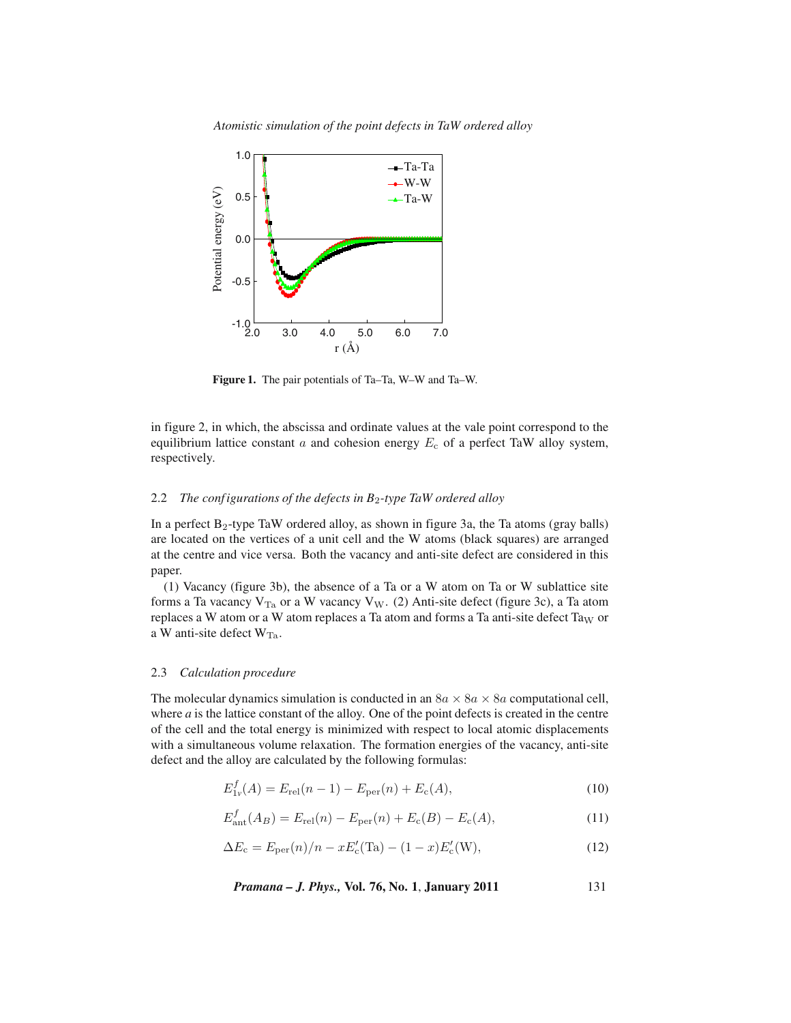*Atomistic simulation of the point defects in TaW ordered alloy*



**Figure 1.** The pair potentials of Ta–Ta, W–W and Ta–W.

in figure 2, in which, the abscissa and ordinate values at the vale point correspond to the equilibrium lattice constant a and cohesion energy  $E<sub>c</sub>$  of a perfect TaW alloy system, respectively.

# 2.2 *The conf igurations of the defects in B*2*-type TaW ordered alloy*

In a perfect  $B_2$ -type TaW ordered alloy, as shown in figure 3a, the Ta atoms (gray balls) are located on the vertices of a unit cell and the W atoms (black squares) are arranged at the centre and vice versa. Both the vacancy and anti-site defect are considered in this paper.

(1) Vacancy (figure 3b), the absence of a Ta or a W atom on Ta or W sublattice site forms a Ta vacancy  $V_{Ta}$  or a W vacancy  $V_W$ . (2) Anti-site defect (figure 3c), a Ta atom replaces a W atom or a W atom replaces a Ta atom and forms a Ta anti-site defect Ta<sub>W</sub> or a W anti-site defect  $W_{Ta}$ .

## 2.3 *Calculation procedure*

The molecular dynamics simulation is conducted in an  $8a \times 8a \times 8a$  computational cell, where  $a$  is the lattice constant of the alloy. One of the point defects is created in the centre of the cell and the total energy is minimized with respect to local atomic displacements with a simultaneous volume relaxation. The formation energies of the vacancy, anti-site defect and the alloy are calculated by the following formulas:

$$
E_{1v}^f(A) = E_{rel}(n-1) - E_{per}(n) + E_c(A),
$$
\n(10)

$$
E_{\text{ant}}^{f}(A_{B}) = E_{\text{rel}}(n) - E_{\text{per}}(n) + E_{\text{c}}(B) - E_{\text{c}}(A), \qquad (11)
$$

$$
\Delta E_{\rm c} = E_{\rm per}(n)/n - xE_{\rm c}'(\text{Ta}) - (1 - x)E_{\rm c}'(\text{W}),\tag{12}
$$

*Pramana – J. Phys.,* **Vol. 76, No. 1**, **January 2011** 131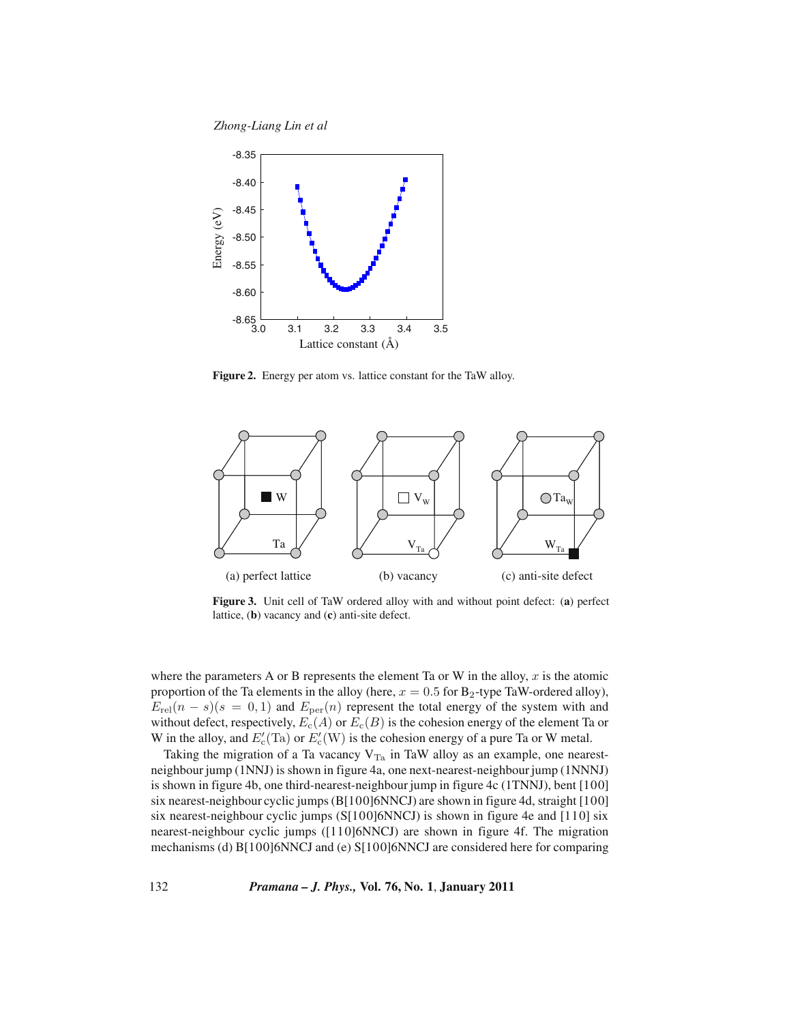*Zhong-Liang Lin et al*



**Figure 2.** Energy per atom vs. lattice constant for the TaW alloy.



**Figure 3.** Unit cell of TaW ordered alloy with and without point defect: (**a**) perfect lattice, (**b**) vacancy and (**c**) anti-site defect.

where the parameters A or B represents the element Ta or W in the alloy,  $x$  is the atomic proportion of the Ta elements in the alloy (here,  $x = 0.5$  for B<sub>2</sub>-type TaW-ordered alloy),  $E_{rel}(n - s)(s = 0, 1)$  and  $E_{per}(n)$  represent the total energy of the system with and without defect, respectively,  $E_c(A)$  or  $E_c(B)$  is the cohesion energy of the element Ta or W in the alloy, and  $E_c'(T_a)$  or  $E_c'(W)$  is the cohesion energy of a pure Ta or W metal.

Taking the migration of a Ta vacancy  $V_{Ta}$  in TaW alloy as an example, one nearestneighbour jump (1NNJ) is shown in figure 4a, one next-nearest-neighbour jump (1NNNJ) is shown in figure 4b, one third-nearest-neighbour jump in figure 4c (1TNNJ), bent [100] six nearest-neighbour cyclic jumps (B[100]6NNCJ) are shown in figure 4d, straight [100] six nearest-neighbour cyclic jumps (S[100]6NNCJ) is shown in figure 4e and [110] six nearest-neighbour cyclic jumps ([110]6NNCJ) are shown in figure 4f. The migration mechanisms (d) B[100]6NNCJ and (e) S[100]6NNCJ are considered here for comparing

132 *Pramana – J. Phys.,* **Vol. 76, No. 1**, **January 2011**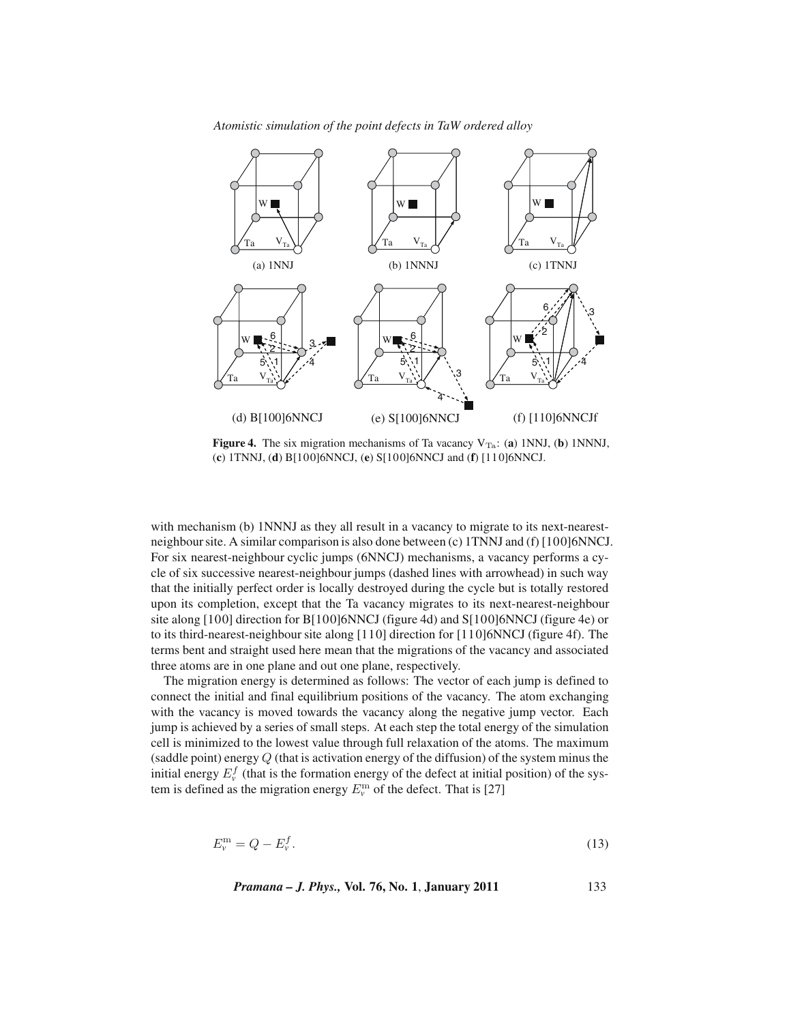



**Figure 4.** The six migration mechanisms of Ta vacancy  $V_{Ta}$ : (a) 1NNJ, (b) 1NNNJ, (**c**) 1TNNJ, (**d**) B[100]6NNCJ, (**e**) S[100]6NNCJ and (**f**) [110]6NNCJ.

with mechanism (b) 1NNNJ as they all result in a vacancy to migrate to its next-nearestneighbour site. A similar comparison is also done between (c) 1TNNJ and (f) [100]6NNCJ. For six nearest-neighbour cyclic jumps (6NNCJ) mechanisms, a vacancy performs a cycle of six successive nearest-neighbour jumps (dashed lines with arrowhead) in such way that the initially perfect order is locally destroyed during the cycle but is totally restored upon its completion, except that the Ta vacancy migrates to its next-nearest-neighbour site along [100] direction for B[100]6NNCJ (figure 4d) and S[100]6NNCJ (figure 4e) or to its third-nearest-neighbour site along [110] direction for [110]6NNCJ (figure 4f). The terms bent and straight used here mean that the migrations of the vacancy and associated three atoms are in one plane and out one plane, respectively.

The migration energy is determined as follows: The vector of each jump is defined to connect the initial and final equilibrium positions of the vacancy. The atom exchanging with the vacancy is moved towards the vacancy along the negative jump vector. Each jump is achieved by a series of small steps. At each step the total energy of the simulation cell is minimized to the lowest value through full relaxation of the atoms. The maximum (saddle point) energy  $Q$  (that is activation energy of the diffusion) of the system minus the initial energy  $E_{\nu}^{f}$  (that is the formation energy of the defect at initial position) of the system is defined as the migration energy  $E_v^{\text{m}}$  of the defect. That is [27]

$$
E_v^{\mathbf{m}} = Q - E_v^f. \tag{13}
$$

*Pramana – J. Phys.,* **Vol. 76, No. 1**, **January 2011** 133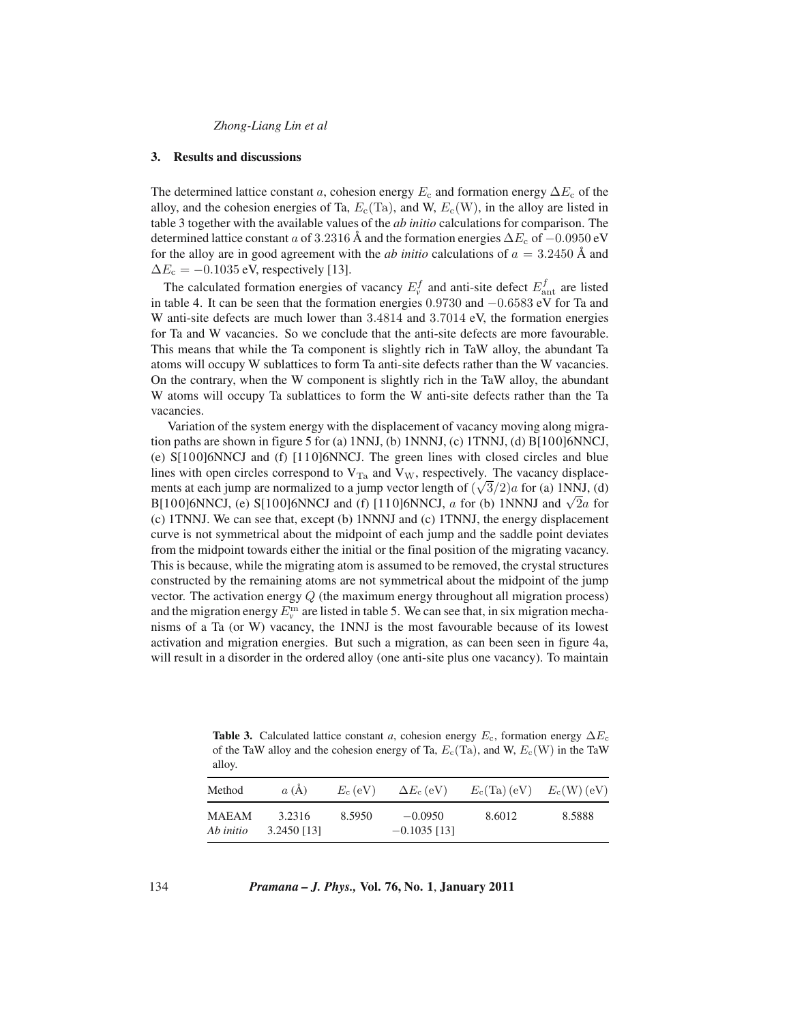#### *Zhong-Liang Lin et al*

#### **3. Results and discussions**

The determined lattice constant a, cohesion energy  $E_c$  and formation energy  $\Delta E_c$  of the alloy, and the cohesion energies of Ta,  $E_c(T_a)$ , and W,  $E_c(W)$ , in the alloy are listed in table 3 together with the available values of the *ab initio* calculations for comparison. The determined lattice constant a of 3.2316 Å and the formation energies  $\Delta E_c$  of  $-0.0950$  eV for the alloy are in good agreement with the *ab initio* calculations of  $a = 3.2450 \text{ Å}$  and  $\Delta E_c = -0.1035$  eV, respectively [13].

The calculated formation energies of vacancy  $E_{\nu}^{f}$  and anti-site defect  $E_{\text{ant}}^{f}$  are listed in table 4. It can be seen that the formation energies 0.9730 and −0.6583 eV for Ta and W anti-site defects are much lower than 3.4814 and 3.7014 eV, the formation energies for Ta and W vacancies. So we conclude that the anti-site defects are more favourable. This means that while the Ta component is slightly rich in TaW alloy, the abundant Ta atoms will occupy W sublattices to form Ta anti-site defects rather than the W vacancies. On the contrary, when the W component is slightly rich in the TaW alloy, the abundant W atoms will occupy Ta sublattices to form the W anti-site defects rather than the Ta vacancies.

Variation of the system energy with the displacement of vacancy moving along migration paths are shown in figure 5 for (a) 1NNJ, (b) 1NNNJ, (c) 1TNNJ, (d) B[100]6NNCJ, (e) S[100]6NNCJ and (f) [110]6NNCJ. The green lines with closed circles and blue lines with open circles correspond to  $V_{T_a}$  and  $V_W$ , respectively. The vacancy displacements at each jump are normalized to a jump vector length of  $(\sqrt{3}/2)a$  for (a) 1NNJ, (d) B[100]6NNCJ, (e) S[100]6NNCJ and (f) [110]6NNCJ, a for (b) 1NNNJ and  $\sqrt{2}a$  for (c) 1TNNJ. We can see that, except (b) 1NNNJ and (c) 1TNNJ, the energy displacement curve is not symmetrical about the midpoint of each jump and the saddle point deviates from the midpoint towards either the initial or the final position of the migrating vacancy. This is because, while the migrating atom is assumed to be removed, the crystal structures constructed by the remaining atoms are not symmetrical about the midpoint of the jump vector. The activation energy  $Q$  (the maximum energy throughout all migration process) and the migration energy  $E_v^{\text{m}}$  are listed in table 5. We can see that, in six migration mechanisms of a Ta (or W) vacancy, the 1NNJ is the most favourable because of its lowest activation and migration energies. But such a migration, as can been seen in figure 4a, will result in a disorder in the ordered alloy (one anti-site plus one vacancy). To maintain

**Table 3.** Calculated lattice constant *a*, cohesion energy  $E_c$ , formation energy  $\Delta E_c$ of the TaW alloy and the cohesion energy of Ta,  $E_c(T_a)$ , and W,  $E_c(W)$  in the TaW alloy.

| Method                    | a(A)                    | $E_c$ (eV) | $\Delta E_c$ (eV)           | $E_c$ (Ta) (eV) | $E_{\rm c}(W)$ (eV) |
|---------------------------|-------------------------|------------|-----------------------------|-----------------|---------------------|
| <b>MAEAM</b><br>Ab initio | 3.2316<br>$3.2450$ [13] | 8.5950     | $-0.0950$<br>$-0.1035$ [13] | 8.6012          | 8.5888              |

134 *Pramana – J. Phys.,* **Vol. 76, No. 1**, **January 2011**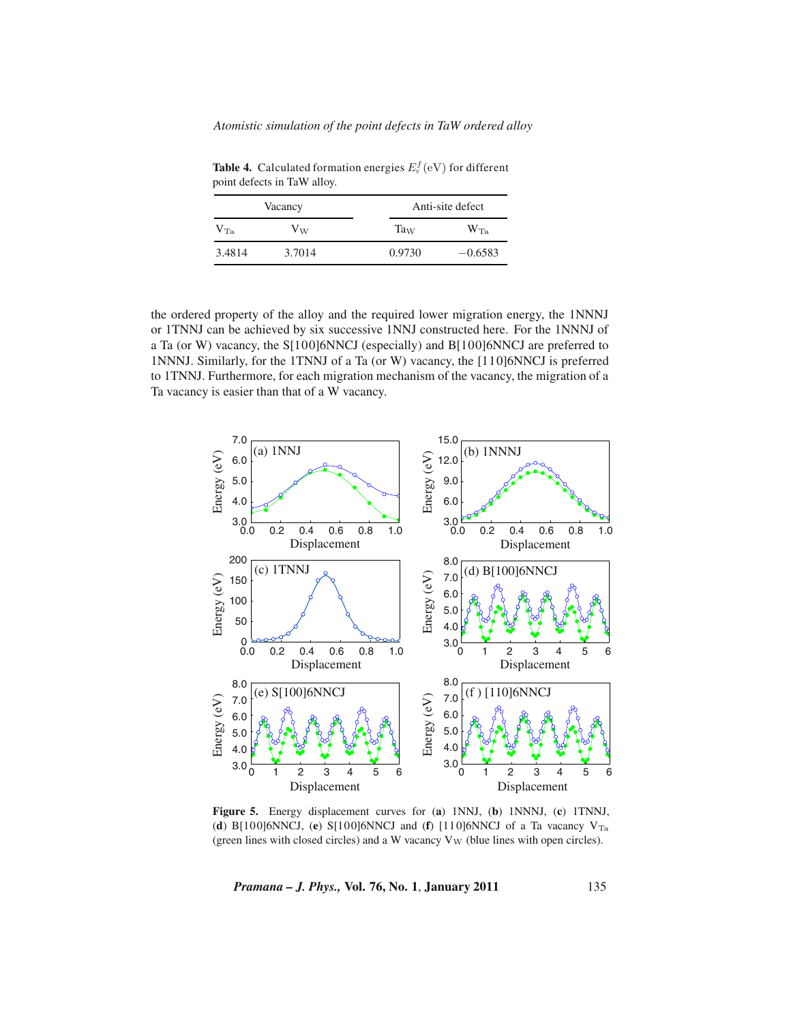*Atomistic simulation of the point defects in TaW ordered alloy*

**Table 4.** Calculated formation energies  $E_v^f(\text{eV})$  for different point defects in TaW alloy.

|              | Vacancy | Anti-site defect |              |  |
|--------------|---------|------------------|--------------|--|
| $\rm V_{Ta}$ | $V_W$   | $Ta_{W}$         | $\rm W_{Ta}$ |  |
| 3.4814       | 3.7014  | 0.9730           | $-0.6583$    |  |

the ordered property of the alloy and the required lower migration energy, the 1NNNJ or 1TNNJ can be achieved by six successive 1NNJ constructed here. For the 1NNNJ of a Ta (or W) vacancy, the S[100]6NNCJ (especially) and B[100]6NNCJ are preferred to 1NNNJ. Similarly, for the 1TNNJ of a Ta (or W) vacancy, the [110]6NNCJ is preferred to 1TNNJ. Furthermore, for each migration mechanism of the vacancy, the migration of a Ta vacancy is easier than that of a W vacancy.



**Figure 5.** Energy displacement curves for (**a**) 1NNJ, (**b**) 1NNNJ, (**c**) 1TNNJ, (**d**) B[100]6NNCJ, (**e**) S[100]6NNCJ and (**f**) [110]6NNCJ of a Ta vacancy  $V_{Ta}$ (green lines with closed circles) and a W vacancy  $V_W$  (blue lines with open circles).

*Pramana – J. Phys.,* **Vol. 76, No. 1**, **January 2011** 135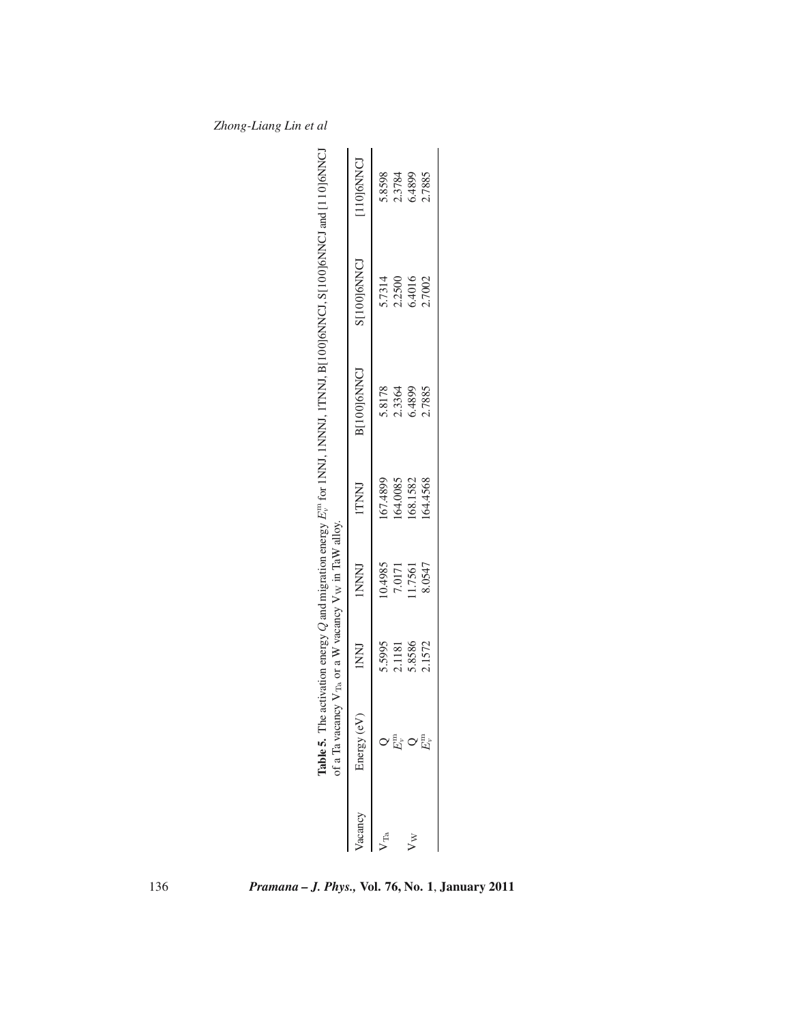| if a Ta vac<br>able 5. $\overline{1}$ |        | ancy $V_{Ta}$ or a W vacancy $V_W$ in TaW alloy. |              | he activation energy $Q$ and migration energy $E_r^{\text{m}}$ for INNJ, INNN, ITNNJ, B[100]6NNCJ and [110]6NNCJ |             |                  |
|---------------------------------------|--------|--------------------------------------------------|--------------|------------------------------------------------------------------------------------------------------------------|-------------|------------------|
|                                       | INNI   | <b>INNNI</b>                                     | <b>ITNNI</b> | B[100]6NNCJ                                                                                                      | S[100]6NNCJ | 110J6NNCJ        |
|                                       | 5.5995 | 0.4985                                           | 67.4899      | 5.8178                                                                                                           | 5.7314      | 5.8598           |
|                                       | 2.1181 |                                                  | 64.0085      |                                                                                                                  | 2.2500      |                  |
| 타이탄                                   | 5.8586 | 7.0171<br>11.7561                                | 68.1582      | 2.3364<br>6.4899                                                                                                 | 5.4016      | 2.3784<br>5.4899 |
|                                       | 2.1572 | 8.0547                                           | 64.4568      | 2.7885                                                                                                           | 2.7002      | 2.7885           |
|                                       |        |                                                  |              |                                                                                                                  |             |                  |

*Zhong-Liang Lin et al*

136 *Pramana – J. Phys.,* **Vol. 76, No. 1**, **January 2011**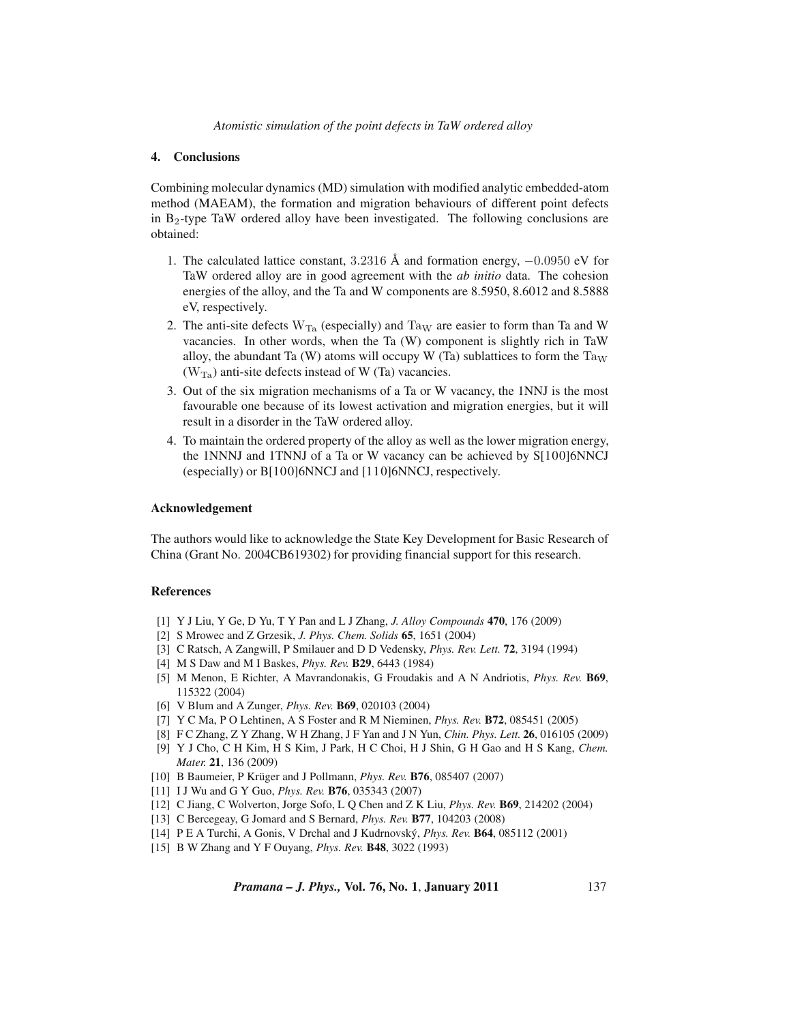## **4. Conclusions**

Combining molecular dynamics (MD) simulation with modified analytic embedded-atom method (MAEAM), the formation and migration behaviours of different point defects in B2-type TaW ordered alloy have been investigated. The following conclusions are obtained:

- 1. The calculated lattice constant, 3.2316 Å and formation energy,  $-0.0950$  eV for TaW ordered alloy are in good agreement with the *ab initio* data. The cohesion energies of the alloy, and the Ta and W components are 8.5950, 8.6012 and 8.5888 eV, respectively.
- 2. The anti-site defects  $W_{Ta}$  (especially) and  $Ta_W$  are easier to form than Ta and W vacancies. In other words, when the Ta (W) component is slightly rich in TaW alloy, the abundant Ta (W) atoms will occupy W (Ta) sublattices to form the  $Ta_W$  $(W_T_a)$  anti-site defects instead of W (Ta) vacancies.
- 3. Out of the six migration mechanisms of a Ta or W vacancy, the 1NNJ is the most favourable one because of its lowest activation and migration energies, but it will result in a disorder in the TaW ordered alloy.
- 4. To maintain the ordered property of the alloy as well as the lower migration energy, the 1NNNJ and 1TNNJ of a Ta or W vacancy can be achieved by S[100]6NNCJ (especially) or B[100]6NNCJ and [110]6NNCJ, respectively.

#### **Acknowledgement**

The authors would like to acknowledge the State Key Development for Basic Research of China (Grant No. 2004CB619302) for providing financial support for this research.

### **References**

- [1] Y J Liu, Y Ge, D Yu, T Y Pan and L J Zhang, *J. Alloy Compounds* **470**, 176 (2009)
- [2] S Mrowec and Z Grzesik, *J. Phys. Chem. Solids* **65**, 1651 (2004)
- [3] C Ratsch, A Zangwill, P Smilauer and D D Vedensky, *Phys. Rev. Lett.* **72**, 3194 (1994)
- [4] M S Daw and M I Baskes, *Phys. Rev.* **B29**, 6443 (1984)
- [5] M Menon, E Richter, A Mavrandonakis, G Froudakis and A N Andriotis, *Phys. Rev.* **B69**, 115322 (2004)
- [6] V Blum and A Zunger, *Phys. Rev.* **B69**, 020103 (2004)
- [7] Y C Ma, P O Lehtinen, A S Foster and R M Nieminen, *Phys. Rev.* **B72**, 085451 (2005)
- [8] F C Zhang, Z Y Zhang, W H Zhang, J F Yan and J N Yun, *Chin. Phys. Lett.* **26**, 016105 (2009)
- [9] Y J Cho, C H Kim, H S Kim, J Park, H C Choi, H J Shin, G H Gao and H S Kang, *Chem. Mater.* **21**, 136 (2009)
- [10] B Baumeier, P Krüger and J Pollmann, *Phys. Rev.* **B76**, 085407 (2007)
- [11] I J Wu and G Y Guo, *Phys. Rev.* **B76**, 035343 (2007)
- [12] C Jiang, C Wolverton, Jorge Sofo, L Q Chen and Z K Liu, *Phys. Rev.* **B69**, 214202 (2004)
- [13] C Bercegeay, G Jomard and S Bernard, *Phys. Rev.* **B77**, 104203 (2008)
- [14] P E A Turchi, A Gonis, V Drchal and J Kudrnovsk´y, *Phys. Rev.* **B64**, 085112 (2001)
- [15] B W Zhang and Y F Ouyang, *Phys. Rev.* **B48**, 3022 (1993)